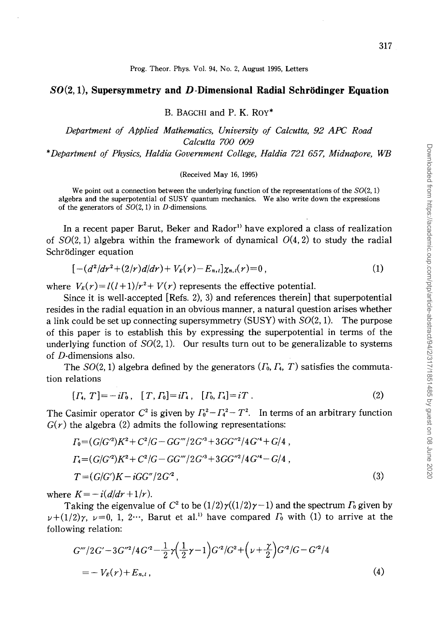## **80(2, 1), Supersymmetry and D-Dimensional Radial Schrodinger Equation**

B. BAGCHI and P. K. Roy\*

*Department of Applied Mathematics, University of Calcutta, 92 APC Road Calcutta 700 009* 

*\*Department of Physics, Haldia Government College, Haldia 721 657, Midnapore, WB* 

## (Received May 16, 1995)

We point out a connection between the underlying function of the representations of the  $SO(2, 1)$ algebra and the superpotential of SUSY quantum mechanics. We also write down the expressions of the generators of  $SO(2, 1)$  in D-dimensions.

In a recent paper Barut, Beker and Rador<sup>1)</sup> have explored a class of realization of  $SO(2, 1)$  algebra within the framework of dynamical  $O(4, 2)$  to study the radial Schrödinger equation

$$
[-(d^2/dr^2+(2/r)d/dr)+V_E(r)-E_{n,l}]\chi_{n,l}(r)=0,
$$
\n(1)

where  $V_E(r) = l(l+1)/r^2 + V(r)$  represents the effective potential.

Since it is well-accepted [Refs. 2), 3) and references therein] that superpotential resides in the radial equation in an obvious manner, a natural question arises whether a link could be set up connecting supersymmetry  $(SUSY)$  with  $SO(2, 1)$ . The purpose of this paper is to establish this by expressing the superpotential in terms of the underlying function of  $SO(2, 1)$ . Our results turn out to be generalizable to systems of D-dimensions also.

The  $SO(2, 1)$  algebra defined by the generators  $(\Gamma_0, \Gamma_4, T)$  satisfies the commutation relations

$$
[T_4, T] = -i\Gamma_0, [T, \Gamma_0] = i\Gamma_4, [T_0, \Gamma_4] = iT.
$$
 (2)

The Casimir operator  $C^2$  is given by  $\Gamma_0^2 - \Gamma_4^2 - T^2$ . In terms of an arbitrary function  $G(r)$  the algebra (2) admits the following representations:

$$
\Gamma_0 = (G/G'^2)K^2 + C^2/G - GG'''/2G'^3 + 3GG''^2/4G'^4 + G/4,
$$
  
\n
$$
\Gamma_4 = (G/G'^2)K^2 + C^2/G - GG'''/2G'^3 + 3GG''^2/4G'^4 - G/4,
$$
  
\n
$$
T = (G/G')K - iGG''/2G'^2,
$$
\n(3)

where  $K = -i(d/dr + 1/r)$ .

Taking the eigenvalue of  $C^2$  to be  $(1/2)\gamma(1/2)\gamma-1$  and the spectrum  $\Gamma_0$  given by  $\nu+(1/2)\gamma$ ,  $\nu=0$ , 1, 2…, Barut et al.<sup>1</sup> have compared  $\Gamma_0$  with (1) to arrive at the following relation:

$$
G'''/2G'-3G''^2/4G'^2-\frac{1}{2}\gamma(\frac{1}{2}\gamma-1)G'^2/G^2+\left(\nu+\frac{\gamma}{2}\right)G'^2/G-G'^2/4
$$
  
=-V<sub>E</sub>(r)+E<sub>n,l</sub>, (4)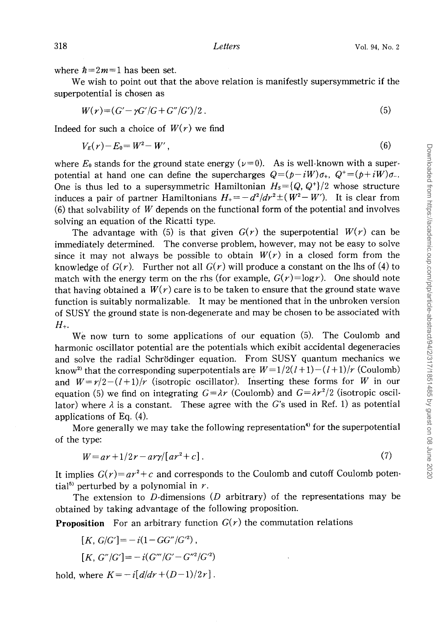where  $\hbar=2m=1$  has been set.

We wish to point out that the above relation is manifestly supersymmetric if the superpotential is chosen as

$$
W(r) = (G' - \gamma G'/G + G''/G')/2.
$$
 (5)

Indeed for such a choice of  $W(r)$  we find

$$
V_E(r) - E_0 = W^2 - W', \t\t(6)
$$

where  $E_0$  stands for the ground state energy ( $\nu=0$ ). As is well-known with a superpotential at hand one can define the supercharges  $Q=(p-iW)\sigma_{+}$ ,  $Q^+=(p+iW)\sigma_{-}$ . One is thus led to a supersymmetric Hamiltonian  $H_s = \{Q, Q^{\dagger}\}/2$  whose structure induces a pair of partner Hamiltonians  $H_{+} = -d^2/dr^2 \pm (W^2 - W')$ . It is clear from (6) that solvability of *W* depends on the functional form of the potential and involves solving an equation of the Ricatti type.

The advantage with (5) is that given  $G(r)$  the superpotential  $W(r)$  can be immediately determined. The converse problem, however, may not be easy to solve since it may not always be possible to obtain  $W(r)$  in a closed form from the knowledge of  $G(r)$ . Further not all  $G(r)$  will produce a constant on the lhs of (4) to match with the energy term on the rhs (for example,  $G(r)=\log r$ ). One should note that having obtained a  $W(r)$  care is to be taken to ensure that the ground state wave function is suitably normalizable. It may be mentioned that in the unbroken version of SUSY the ground state is non-degenerate and may be chosen to be associated with *H+.* 

We now turn to some applications of our equation (5). The Coulomb and harmonic oscillator potential are the potentials which exibit accidental degeneracies and solve the radial Schrödinger equation. From SUSY quantum mechanics we know<sup>2</sup> that the corresponding superpotentials are  $W=1/2(l+1)-(l+1)/r$  (Coulomb) and  $W=r/2-(l+1)/r$  (isotropic oscillator). Inserting these forms for *W* in our equation (5) we find on integrating  $G = \lambda r$  (Coulomb) and  $G = \lambda r^2/2$  (isotropic oscillator) where  $\lambda$  is a constant. These agree with the G's used in Ref. 1) as potential applications of Eq.  $(4)$ .

More generally we may take the following representation<sup>4</sup> for the superpotential of the type:

$$
W = ar + 1/2r - ar\gamma/[ar^2 + c].\tag{7}
$$

It implies  $G(r) = ar^2 + c$  and corresponds to the Coulomb and cutoff Coulomb potential<sup>5)</sup> perturbed by a polynomial in  $r$ .

The extension to  $D$ -dimensions  $(D \text{ arbitrary})$  of the representations may be obtained by taking advantage of the following proposition\_

**Proposition** For an arbitrary function  $G(r)$  the commutation relations

$$
[K, G/G'] = -i(1 - GG''/G^{2}),
$$

$$
[K, G''/G'] = -i(G'''/G' - G''^2/G'^2)
$$

hold, where  $K = -i[d/dr + (D-1)/2r]$ .